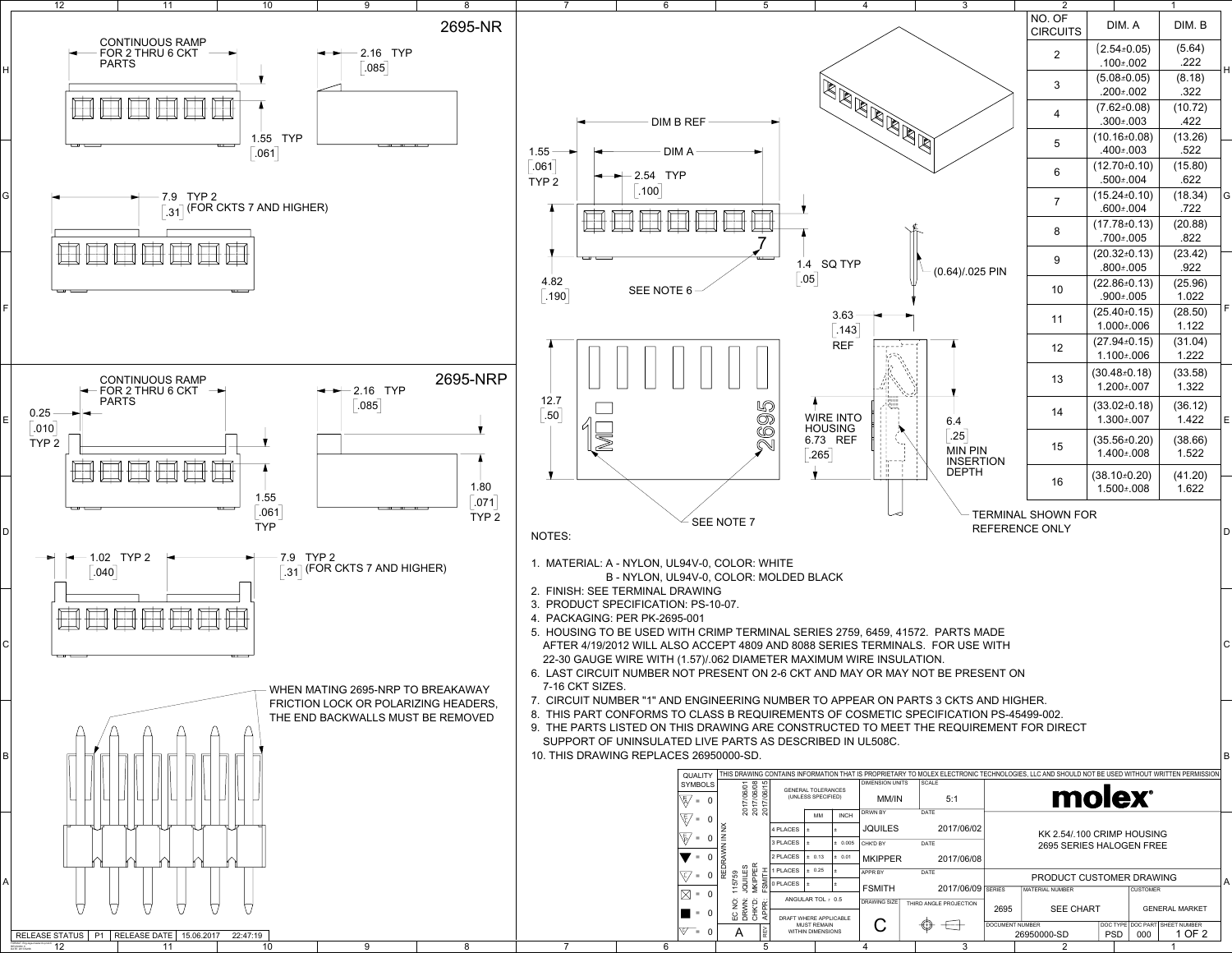|                               | 5                                                                                                            |                                                 |                                    | $\overline{4}$                       | 3                                      |                 | 2                                                                                                                                             |                                         |                 |                                          |             |
|-------------------------------|--------------------------------------------------------------------------------------------------------------|-------------------------------------------------|------------------------------------|--------------------------------------|----------------------------------------|-----------------|-----------------------------------------------------------------------------------------------------------------------------------------------|-----------------------------------------|-----------------|------------------------------------------|-------------|
|                               |                                                                                                              |                                                 |                                    |                                      |                                        |                 | NO. OF<br><b>CIRCUITS</b>                                                                                                                     | DIM. A                                  |                 | DIM. B                                   |             |
|                               |                                                                                                              |                                                 |                                    |                                      |                                        |                 | $\overline{2}$                                                                                                                                | $(2.54 \pm 0.05)$<br>$.100 \pm .002$    |                 | (5.64)<br>.222                           |             |
|                               |                                                                                                              |                                                 |                                    |                                      |                                        |                 | $\overline{3}$                                                                                                                                | $(5.08 \pm 0.05)$                       |                 | (8.18)                                   | H           |
|                               |                                                                                                              |                                                 |                                    | REAR REAR                            |                                        |                 |                                                                                                                                               | .200±.002                               |                 | .322                                     |             |
| <b>EF</b>                     |                                                                                                              |                                                 |                                    |                                      |                                        |                 | $\overline{4}$                                                                                                                                | $(7.62 \pm 0.08)$<br>$.300 \pm .003$    |                 | (10.72)<br>.422                          |             |
|                               |                                                                                                              |                                                 |                                    |                                      |                                        |                 | 5                                                                                                                                             | $(10.16 \pm 0.08)$                      |                 | (13.26)                                  |             |
|                               |                                                                                                              |                                                 |                                    |                                      |                                        |                 |                                                                                                                                               | .400±.003                               |                 | .522                                     |             |
|                               |                                                                                                              |                                                 |                                    |                                      |                                        |                 | $6\phantom{1}$                                                                                                                                | $(12.70 \pm 0.10)$<br>$.500 \pm .004$   |                 | (15.80)<br>.622                          |             |
|                               |                                                                                                              |                                                 |                                    |                                      |                                        |                 | $\overline{7}$                                                                                                                                | $(15.24 \pm 0.10)$                      |                 | (18.34)                                  | G           |
|                               |                                                                                                              |                                                 |                                    |                                      |                                        |                 |                                                                                                                                               | $.600 \pm .004$                         |                 | .722                                     |             |
|                               |                                                                                                              |                                                 |                                    |                                      |                                        |                 | 8                                                                                                                                             | $(17.78 \pm 0.13)$<br>.700±.005         |                 | (20.88)<br>.822                          |             |
|                               |                                                                                                              |                                                 |                                    |                                      |                                        |                 | 9                                                                                                                                             | $(20.32 \pm 0.13)$                      |                 | (23.42)                                  |             |
|                               |                                                                                                              | 1.4                                             | <b>SQ TYP</b>                      |                                      | $(0.64)/.025$ PIN                      |                 |                                                                                                                                               | $.800 \pm .005$                         |                 | .922                                     |             |
|                               |                                                                                                              | .05                                             |                                    |                                      |                                        |                 | 10                                                                                                                                            | $(22.86 \pm 0.13)$<br>.900±.005         |                 | (25.96)<br>1.022                         |             |
|                               |                                                                                                              |                                                 | 3.63                               |                                      |                                        |                 |                                                                                                                                               | $(25.40 \pm 0.15)$                      |                 | (28.50)                                  | $\mathsf F$ |
|                               |                                                                                                              |                                                 | .143                               |                                      |                                        |                 | 11                                                                                                                                            | 1.000±.006                              |                 | 1.122                                    |             |
|                               |                                                                                                              |                                                 | <b>REF</b>                         |                                      |                                        |                 | 12                                                                                                                                            | $(27.94 \pm 0.15)$<br>$1.100 \pm 0.006$ |                 | (31.04)<br>1.222                         |             |
|                               |                                                                                                              |                                                 |                                    |                                      |                                        |                 |                                                                                                                                               | $(30.48 \pm 0.18)$                      |                 | (33.58)                                  |             |
|                               |                                                                                                              |                                                 |                                    |                                      |                                        |                 | 13                                                                                                                                            | $1.200 \pm 0.007$                       |                 | 1.322                                    |             |
|                               |                                                                                                              |                                                 |                                    |                                      |                                        |                 | 14                                                                                                                                            | $(33.02 \pm 0.18)$                      |                 | (36.12)                                  |             |
|                               | 5695                                                                                                         |                                                 | <b>WIRE INTO</b><br><b>HOUSING</b> |                                      | 6.4                                    |                 |                                                                                                                                               | $1.300 \pm 0.007$                       |                 | 1.422                                    | $\mathsf E$ |
|                               |                                                                                                              | .265                                            | 6.73 REF                           |                                      | $\left[ .25 \right]$<br><b>MIN PIN</b> |                 | 15                                                                                                                                            | $(35.56 \pm 0.20)$<br>$1.400 \pm 0.008$ |                 | (38.66)<br>1.522                         |             |
|                               |                                                                                                              |                                                 |                                    |                                      | <b>INSERTION</b><br><b>DEPTH</b>       |                 |                                                                                                                                               |                                         |                 |                                          |             |
|                               |                                                                                                              |                                                 |                                    |                                      |                                        |                 | 16                                                                                                                                            | $(38.10 \pm 0.20)$<br>$1.500 \pm 0.008$ |                 | (41.20)<br>1.622                         |             |
|                               |                                                                                                              |                                                 |                                    |                                      |                                        |                 |                                                                                                                                               |                                         |                 |                                          |             |
|                               | SEE NOTE 7                                                                                                   |                                                 |                                    |                                      |                                        |                 | TERMINAL SHOWN FOR<br><b>REFERENCE ONLY</b>                                                                                                   |                                         |                 |                                          | D           |
|                               |                                                                                                              |                                                 |                                    |                                      |                                        |                 |                                                                                                                                               |                                         |                 |                                          |             |
|                               | V-0, COLOR: WHITE                                                                                            |                                                 |                                    |                                      |                                        |                 |                                                                                                                                               |                                         |                 |                                          |             |
| <b>WING</b>                   | V-0, COLOR: MOLDED BLACK                                                                                     |                                                 |                                    |                                      |                                        |                 |                                                                                                                                               |                                         |                 |                                          |             |
| PS-10-07.                     |                                                                                                              |                                                 |                                    |                                      |                                        |                 |                                                                                                                                               |                                         |                 |                                          |             |
| 01                            |                                                                                                              |                                                 |                                    |                                      |                                        |                 |                                                                                                                                               |                                         |                 |                                          |             |
|                               | I CRIMP TERMINAL SERIES 2759, 6459, 41572. PARTS MADE<br>ACCEPT 4809 AND 8088 SERIES TERMINALS. FOR USE WITH |                                                 |                                    |                                      |                                        |                 |                                                                                                                                               |                                         |                 |                                          | $\mathsf C$ |
|                               | 57)/.062 DIAMETER MAXIMUM WIRE INSULATION.                                                                   |                                                 |                                    |                                      |                                        |                 |                                                                                                                                               |                                         |                 |                                          |             |
|                               | T PRESENT ON 2-6 CKT AND MAY OR MAY NOT BE PRESENT ON                                                        |                                                 |                                    |                                      |                                        |                 |                                                                                                                                               |                                         |                 |                                          |             |
|                               | NGINEERING NUMBER TO APPEAR ON PARTS 3 CKTS AND HIGHER.                                                      |                                                 |                                    |                                      |                                        |                 |                                                                                                                                               |                                         |                 |                                          |             |
|                               | CLASS B REQUIREMENTS OF COSMETIC SPECIFICATION PS-45499-002.                                                 |                                                 |                                    |                                      |                                        |                 | ; DRAWING ARE CONSTRUCTED TO MEET THE REQUIREMENT FOR DIRECT                                                                                  |                                         |                 |                                          |             |
|                               | LIVE PARTS AS DESCRIBED IN UL508C.                                                                           |                                                 |                                    |                                      |                                        |                 |                                                                                                                                               |                                         |                 |                                          |             |
|                               | 26950000-SD.                                                                                                 |                                                 |                                    |                                      |                                        |                 |                                                                                                                                               |                                         |                 |                                          | B           |
| <b>JALITY</b><br><b>MBOLS</b> |                                                                                                              |                                                 |                                    | <b>DIMENSION UNITS</b>               | <b>SCALE</b>                           |                 | THIS DRAWING CONTAINS INFORMATION THAT IS PROPRIETARY TO MOLEX ELECTRONIC TECHNOLOGIES, LLC AND SHOULD NOT BE USED WITHOUT WRITTEN PERMISSION |                                         |                 |                                          |             |
| $= 0$                         | 2017/06/08<br>2017/06/01                                                                                     | <b>GENERAL TOLERANCES</b><br>(UNLESS SPECIFIED) |                                    | MM/IN                                | 5:1                                    |                 |                                                                                                                                               | molex                                   |                 |                                          |             |
| $\mathbf 0$<br>$\equiv$       |                                                                                                              | MM                                              | <b>INCH</b>                        | <b>DRWN BY</b>                       | DATE                                   |                 |                                                                                                                                               |                                         |                 |                                          |             |
| 0<br>$\equiv$                 | REDRAWN IN NX                                                                                                | 4 PLACES<br>$\pm$<br>3 PLACES<br>$\pm$          | $\pm$<br>± 0.005                   | <b>JQUILES</b><br>CHK'D BY           | 2017/06/02<br><b>DATE</b>              |                 | KK 2.54/.100 CRIMP HOUSING                                                                                                                    |                                         |                 |                                          |             |
| $\mathbf 0$<br>$\equiv$       |                                                                                                              | 2 PLACES<br>± 0.13                              | ± 0.01                             | <b>MKIPPER</b>                       | 2017/06/08                             |                 | 2695 SERIES HALOGEN FREE                                                                                                                      |                                         |                 |                                          |             |
| $\mathbf 0$<br>$\equiv$       | <b>MKIPPER</b><br>JQUILES<br>FSMITH<br>15759                                                                 | 1 PLACES<br>± 0.25                              | E.                                 | APPR BY                              | <b>DATE</b>                            |                 | PRODUCT CUSTOMER DRAWING                                                                                                                      |                                         |                 |                                          | A           |
| $= 0$                         |                                                                                                              | 0 PLACES<br>l ±<br>ANGULAR TOL ± 0.5            | ±.                                 | <b>FSMITH</b><br><b>DRAWING SIZE</b> | 2017/06/09                             | <b>SERIES</b>   | <b>MATERIAL NUMBER</b>                                                                                                                        |                                         | <b>CUSTOMER</b> |                                          |             |
| $= 0$                         | CHKD:<br>APPR:<br>DRWN:<br>š<br>$\Omega$                                                                     | DRAFT WHERE APPLICABLE                          |                                    |                                      | THIRD ANGLE PROJECTION                 | 2695            | <b>SEE CHART</b>                                                                                                                              |                                         |                 | <b>GENERAL MARKET</b>                    |             |
| $\mathbf 0$<br>$=$            | REV<br>A                                                                                                     | <b>MUST REMAIN</b><br>WITHIN DIMENSIONS         |                                    | $\bf C$                              |                                        | DOCUMENT NUMBER | 26950000-SD                                                                                                                                   | <b>PSD</b>                              | 000             | DOC TYPE DOC PART SHEET NUMBER<br>1 OF 2 |             |



1

2

3

4

5